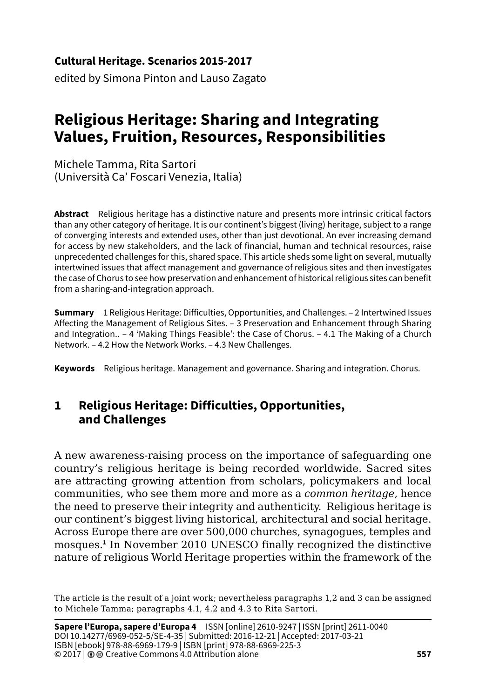**Cultural Heritage. Scenarios 2015-2017**

edited by Simona Pinton and Lauso Zagato

# **Religious Heritage: Sharing and Integrating Values, Fruition, Resources, Responsibilities**

Michele Tamma, Rita Sartori (Università Ca' Foscari Venezia, Italia)

**Abstract** Religious heritage has a distinctive nature and presents more intrinsic critical factors than any other category of heritage. It is our continent's biggest (living) heritage, subject to a range of converging interests and extended uses, other than just devotional. An ever increasing demand for access by new stakeholders, and the lack of financial, human and technical resources, raise unprecedented challenges for this, shared space. This article sheds some light on several, mutually intertwined issues that affect management and governance of religious sites and then investigates the case of Chorus to see how preservation and enhancement of historical religious sites can benefit from a sharing-and-integration approach.

**Summary** 1 Religious Heritage: Difficulties, Opportunities, and Challenges. – 2 Intertwined Issues Affecting the Management of Religious Sites. – 3 Preservation and Enhancement through Sharing and Integration.. – 4 'Making Things Feasible': the Case of Chorus. – 4.1 The Making of a Church Network. – 4.2 How the Network Works. – 4.3 New Challenges.

**Keywords** Religious heritage. Management and governance. Sharing and integration. Chorus.

# **1 Religious Heritage: Difficulties, Opportunities, and Challenges**

A new awareness-raising process on the importance of safeguarding one country's religious heritage is being recorded worldwide. Sacred sites are attracting growing attention from scholars, policymakers and local communities, who see them more and more as a *common heritage*, hence the need to preserve their integrity and authenticity. Religious heritage is our continent's biggest living historical, architectural and social heritage. Across Europe there are over 500,000 churches, synagogues, temples and mosques.**<sup>1</sup>** In November 2010 UNESCO finally recognized the distinctive nature of religious World Heritage properties within the framework of the

The article is the result of a joint work; nevertheless paragraphs 1,2 and 3 can be assigned to Michele Tamma; paragraphs 4.1, 4.2 and 4.3 to Rita Sartori.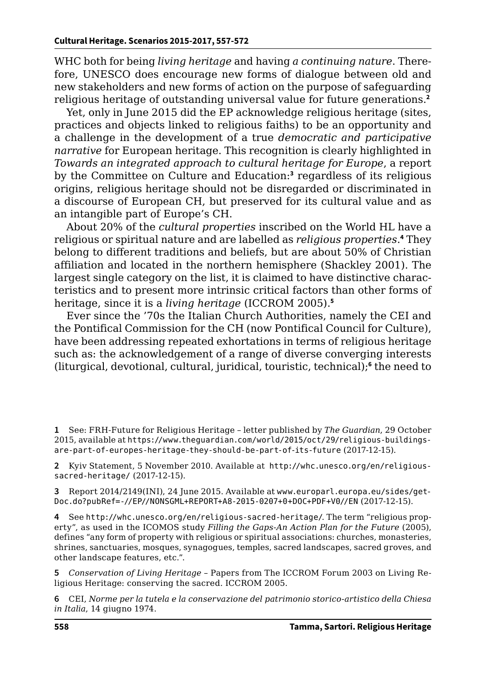WHC both for being *living heritage* and having *a continuing nature*. Therefore, UNESCO does encourage new forms of dialogue between old and new stakeholders and new forms of action on the purpose of safeguarding religious heritage of outstanding universal value for future generations.**<sup>2</sup>**

Yet, only in June 2015 did the EP acknowledge religious heritage (sites, practices and objects linked to religious faiths) to be an opportunity and a challenge in the development of a true *democratic and participative narrative* for European heritage. This recognition is clearly highlighted in *Towards an integrated approach to cultural heritage for Europe*, a report by the Committee on Culture and Education:<sup>3</sup> regardless of its religious origins, religious heritage should not be disregarded or discriminated in a discourse of European CH, but preserved for its cultural value and as an intangible part of Europe's CH.

About 20% of the *cultural properties* inscribed on the World HL have a religious or spiritual nature and are labelled as *religious properties*. **4** They belong to different traditions and beliefs, but are about 50% of Christian affiliation and located in the northern hemisphere (Shackley 2001). The largest single category on the list, it is claimed to have distinctive characteristics and to present more intrinsic critical factors than other forms of heritage, since it is a *living heritage* (ICCROM 2005).**<sup>5</sup>**

Ever since the '70s the Italian Church Authorities, namely the CEI and the Pontifical Commission for the CH (now Pontifical Council for Culture), have been addressing repeated exhortations in terms of religious heritage such as: the acknowledgement of a range of diverse converging interests (liturgical, devotional, cultural, juridical, touristic, technical);**<sup>6</sup>** the need to

**1** See: FRH-Future for Religious Heritage – letter published by *The Guardian*, 29 October 2015, available at [https://www.theguardian.com/world/2015/oct/29/religious-buildings](https://www.theguardian.com/world/2015/oct/29/religious-buildings-are-part-of-europes-heritage-they-should-be-part-of-its-future)[are-part-of-europes-heritage-they-should-be-part-of-its-future](https://www.theguardian.com/world/2015/oct/29/religious-buildings-are-part-of-europes-heritage-they-should-be-part-of-its-future) (2017-12-15).

**2** Kyiv Statement, 5 November 2010. Available a[t](http://www.kplavra.kiev.ua/seminar/rap_en.pdf) [http://whc.unesco.org/en/religious](http://whc.unesco.org/en/religious-sacred-heritage/)[sacred-heritage/](http://whc.unesco.org/en/religious-sacred-heritage/) (2017-12-15).

**3** Report 2014/2149(INI), 24 June 2015. Available at www.europarl.europa.eu/sides/get-Doc.do?pubRef=-//EP//NONSGML+REPORT+A8-2015-0207+0+DOC+PDF+V0//EN (2017-12-15).

**4** See <http://whc.unesco.org/en/religious-sacred-heritage/>. The term "religious property", as used in the ICOMOS study *Filling the Gaps-An Action Plan for the Future* (2005), defines "any form of property with religious or spiritual associations: churches, monasteries, shrines, sanctuaries, mosques, synagogues, temples, sacred landscapes, sacred groves, and other landscape features, etc.".

**5** *Conservation of Living Heritage* – Papers from The ICCROM Forum 2003 on Living Religious Heritage: conserving the sacred. ICCROM 2005.

**6** CEI, *Norme per la tutela e la conservazione del patrimonio storico-artistico della Chiesa in Italia*, 14 giugno 1974.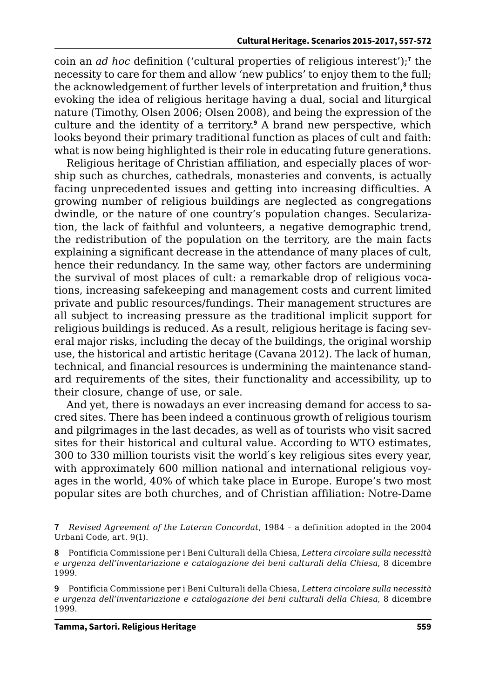coin an *ad hoc* definition ('cultural properties of religious interest');**<sup>7</sup>** the necessity to care for them and allow 'new publics' to enjoy them to the full; the acknowledgement of further levels of interpretation and fruition,**<sup>8</sup>** thus evoking the idea of religious heritage having a dual, social and liturgical nature (Timothy, Olsen 2006; Olsen 2008), and being the expression of the culture and the identity of a territory.**<sup>9</sup>** A brand new perspective, which looks beyond their primary traditional function as places of cult and faith: what is now being highlighted is their role in educating future generations.

Religious heritage of Christian affiliation, and especially places of worship such as churches, cathedrals, monasteries and convents, is actually facing unprecedented issues and getting into increasing difficulties. A growing number of religious buildings are neglected as congregations dwindle, or the nature of one country's population changes. Secularization, the lack of faithful and volunteers, a negative demographic trend, the redistribution of the population on the territory, are the main facts explaining a significant decrease in the attendance of many places of cult, hence their redundancy. In the same way, other factors are undermining the survival of most places of cult: a remarkable drop of religious vocations, increasing safekeeping and management costs and current limited private and public resources/fundings. Their management structures are all subject to increasing pressure as the traditional implicit support for religious buildings is reduced. As a result, religious heritage is facing several major risks, including the decay of the buildings, the original worship use, the historical and artistic heritage (Cavana 2012). The lack of human, technical, and financial resources is undermining the maintenance standard requirements of the sites, their functionality and accessibility, up to their closure, change of use, or sale.

And yet, there is nowadays an ever increasing demand for access to sacred sites. There has been indeed a continuous growth of religious tourism and pilgrimages in the last decades, as well as of tourists who visit sacred sites for their historical and cultural value. According to WTO estimates, 300 to 330 million tourists visit the world ́s key religious sites every year, with approximately 600 million national and international religious voyages in the world, 40% of which take place in Europe. Europe's two most popular sites are both churches, and of Christian affiliation: Notre-Dame

**<sup>7</sup>** *Revised Agreement of the Lateran Concordat*, 1984 – a definition adopted in the 2004 Urbani Code, art. 9(1).

**<sup>8</sup>** Pontificia Commissione per i Beni Culturali della Chiesa, *Lettera circolare sulla necessità e urgenza dell'inventariazione e catalogazione dei beni culturali della Chiesa*, 8 dicembre 1999.

**<sup>9</sup>** Pontificia Commissione per i Beni Culturali della Chiesa, *Lettera circolare sulla necessità e urgenza dell'inventariazione e catalogazione dei beni culturali della Chiesa*, 8 dicembre 1999.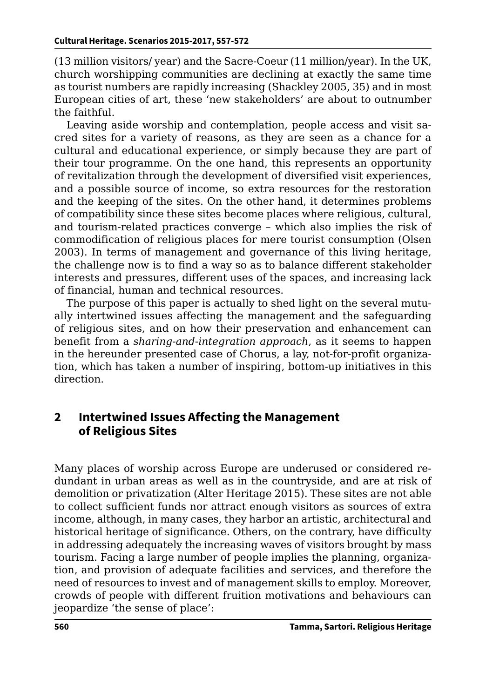(13 million visitors/ year) and the Sacre-Coeur (11 million/year). In the UK, church worshipping communities are declining at exactly the same time as tourist numbers are rapidly increasing (Shackley 2005, 35) and in most European cities of art, these 'new stakeholders' are about to outnumber the faithful.

Leaving aside worship and contemplation, people access and visit sacred sites for a variety of reasons, as they are seen as a chance for a cultural and educational experience, or simply because they are part of their tour programme. On the one hand, this represents an opportunity of revitalization through the development of diversified visit experiences, and a possible source of income, so extra resources for the restoration and the keeping of the sites. On the other hand, it determines problems of compatibility since these sites become places where religious, cultural, and tourism-related practices converge – which also implies the risk of commodification of religious places for mere tourist consumption (Olsen 2003). In terms of management and governance of this living heritage, the challenge now is to find a way so as to balance different stakeholder interests and pressures, different uses of the spaces, and increasing lack of financial, human and technical resources.

The purpose of this paper is actually to shed light on the several mutually intertwined issues affecting the management and the safeguarding of religious sites, and on how their preservation and enhancement can benefit from a *sharing-and-integration approach*, as it seems to happen in the hereunder presented case of Chorus, a lay, not-for-profit organization, which has taken a number of inspiring, bottom-up initiatives in this direction.

# **2 Intertwined Issues Affecting the Management of Religious Sites**

Many places of worship across Europe are underused or considered redundant in urban areas as well as in the countryside, and are at risk of demolition or privatization (Alter Heritage 2015). These sites are not able to collect sufficient funds nor attract enough visitors as sources of extra income, although, in many cases, they harbor an artistic, architectural and historical heritage of significance. Others, on the contrary, have difficulty in addressing adequately the increasing waves of visitors brought by mass tourism. Facing a large number of people implies the planning, organization, and provision of adequate facilities and services, and therefore the need of resources to invest and of management skills to employ. Moreover, crowds of people with different fruition motivations and behaviours can jeopardize 'the sense of place':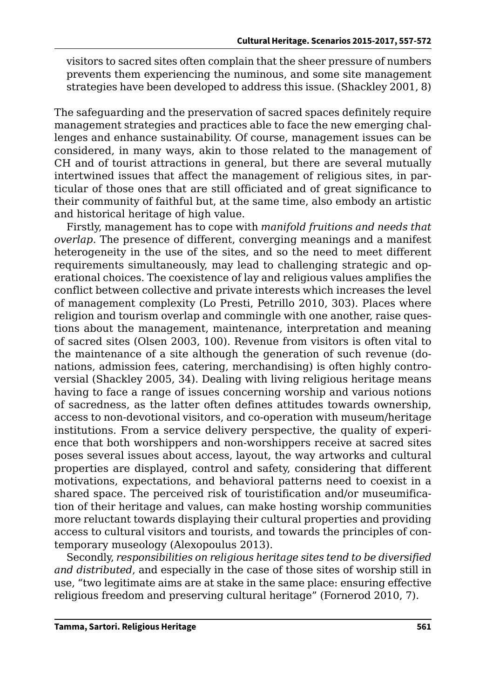visitors to sacred sites often complain that the sheer pressure of numbers prevents them experiencing the numinous, and some site management strategies have been developed to address this issue. (Shackley 2001, 8)

The safeguarding and the preservation of sacred spaces definitely require management strategies and practices able to face the new emerging challenges and enhance sustainability. Of course, management issues can be considered, in many ways, akin to those related to the management of CH and of tourist attractions in general, but there are several mutually intertwined issues that affect the management of religious sites, in particular of those ones that are still officiated and of great significance to their community of faithful but, at the same time, also embody an artistic and historical heritage of high value.

Firstly, management has to cope with *manifold fruitions and needs that overlap*. The presence of different, converging meanings and a manifest heterogeneity in the use of the sites, and so the need to meet different requirements simultaneously, may lead to challenging strategic and operational choices. The coexistence of lay and religious values amplifies the conflict between collective and private interests which increases the level of management complexity (Lo Presti, Petrillo 2010, 303). Places where religion and tourism overlap and commingle with one another, raise questions about the management, maintenance, interpretation and meaning of sacred sites (Olsen 2003, 100). Revenue from visitors is often vital to the maintenance of a site although the generation of such revenue (donations, admission fees, catering, merchandising) is often highly controversial (Shackley 2005, 34). Dealing with living religious heritage means having to face a range of issues concerning worship and various notions of sacredness, as the latter often defines attitudes towards ownership, access to non-devotional visitors, and co-operation with museum/heritage institutions. From a service delivery perspective, the quality of experience that both worshippers and non-worshippers receive at sacred sites poses several issues about access, layout, the way artworks and cultural properties are displayed, control and safety, considering that different motivations, expectations, and behavioral patterns need to coexist in a shared space. The perceived risk of touristification and/or museumification of their heritage and values, can make hosting worship communities more reluctant towards displaying their cultural properties and providing access to cultural visitors and tourists, and towards the principles of contemporary museology (Alexopoulus 2013).

Secondly, *responsibilities on religious heritage sites tend to be diversified and distributed*, and especially in the case of those sites of worship still in use, "two legitimate aims are at stake in the same place: ensuring effective religious freedom and preserving cultural heritage" (Fornerod 2010, 7).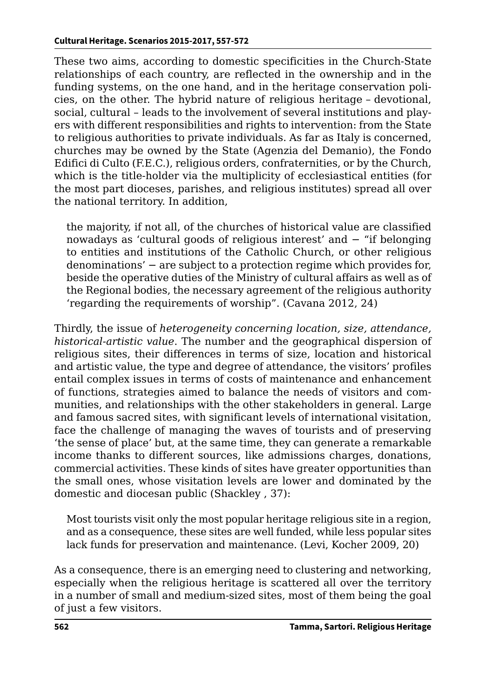These two aims, according to domestic specificities in the Church-State relationships of each country, are reflected in the ownership and in the funding systems, on the one hand, and in the heritage conservation policies, on the other. The hybrid nature of religious heritage – devotional, social, cultural – leads to the involvement of several institutions and players with different responsibilities and rights to intervention: from the State to religious authorities to private individuals. As far as Italy is concerned, churches may be owned by the State (Agenzia del Demanio), the Fondo Edifici di Culto (F.E.C.), religious orders, confraternities, or by the Church, which is the title-holder via the multiplicity of ecclesiastical entities (for the most part dioceses, parishes, and religious institutes) spread all over the national territory. In addition,

the majority, if not all, of the churches of historical value are classified nowadays as 'cultural goods of religious interest' and − "if belonging to entities and institutions of the Catholic Church, or other religious denominations' − are subject to a protection regime which provides for, beside the operative duties of the Ministry of cultural affairs as well as of the Regional bodies, the necessary agreement of the religious authority 'regarding the requirements of worship". (Cavana 2012, 24)

Thirdly, the issue of *heterogeneity concerning location, size, attendance, historical-artistic value*. The number and the geographical dispersion of religious sites, their differences in terms of size, location and historical and artistic value, the type and degree of attendance, the visitors' profiles entail complex issues in terms of costs of maintenance and enhancement of functions, strategies aimed to balance the needs of visitors and communities, and relationships with the other stakeholders in general. Large and famous sacred sites, with significant levels of international visitation, face the challenge of managing the waves of tourists and of preserving 'the sense of place' but, at the same time, they can generate a remarkable income thanks to different sources, like admissions charges, donations, commercial activities. These kinds of sites have greater opportunities than the small ones, whose visitation levels are lower and dominated by the domestic and diocesan public (Shackley , 37):

Most tourists visit only the most popular heritage religious site in a region, and as a consequence, these sites are well funded, while less popular sites lack funds for preservation and maintenance. (Levi, Kocher 2009, 20)

As a consequence, there is an emerging need to clustering and networking, especially when the religious heritage is scattered all over the territory in a number of small and medium-sized sites, most of them being the goal of just a few visitors.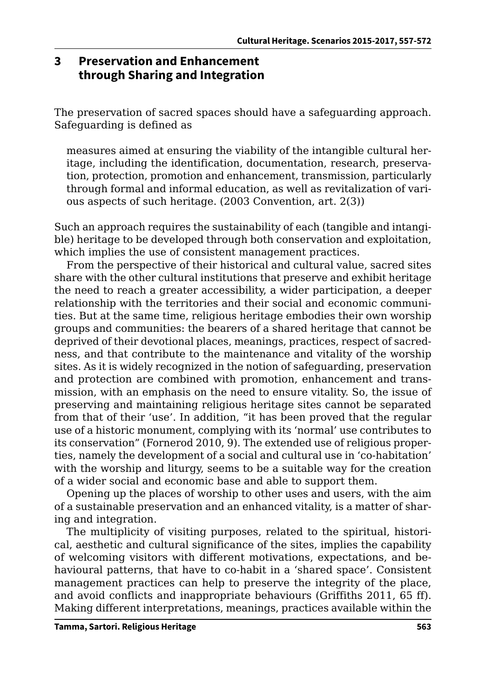# **3 Preservation and Enhancement through Sharing and Integration**

The preservation of sacred spaces should have a safeguarding approach. Safeguarding is defined as

measures aimed at ensuring the viability of the intangible cultural heritage, including the identification, documentation, research, preservation, protection, promotion and enhancement, transmission, particularly through formal and informal education, as well as revitalization of various aspects of such heritage. (2003 Convention, art. 2(3))

Such an approach requires the sustainability of each (tangible and intangible) heritage to be developed through both conservation and exploitation, which implies the use of consistent management practices.

From the perspective of their historical and cultural value, sacred sites share with the other cultural institutions that preserve and exhibit heritage the need to reach a greater accessibility, a wider participation, a deeper relationship with the territories and their social and economic communities. But at the same time, religious heritage embodies their own worship groups and communities: the bearers of a shared heritage that cannot be deprived of their devotional places, meanings, practices, respect of sacredness, and that contribute to the maintenance and vitality of the worship sites. As it is widely recognized in the notion of safeguarding, preservation and protection are combined with promotion, enhancement and transmission, with an emphasis on the need to ensure vitality. So, the issue of preserving and maintaining religious heritage sites cannot be separated from that of their 'use'. In addition, "it has been proved that the regular use of a historic monument, complying with its 'normal' use contributes to its conservation" (Fornerod 2010, 9). The extended use of religious properties, namely the development of a social and cultural use in 'co-habitation' with the worship and liturgy, seems to be a suitable way for the creation of a wider social and economic base and able to support them.

Opening up the places of worship to other uses and users, with the aim of a sustainable preservation and an enhanced vitality, is a matter of sharing and integration.

The multiplicity of visiting purposes, related to the spiritual, historical, aesthetic and cultural significance of the sites, implies the capability of welcoming visitors with different motivations, expectations, and behavioural patterns, that have to co-habit in a 'shared space'. Consistent management practices can help to preserve the integrity of the place, and avoid conflicts and inappropriate behaviours (Griffiths 2011, 65 ff). Making different interpretations, meanings, practices available within the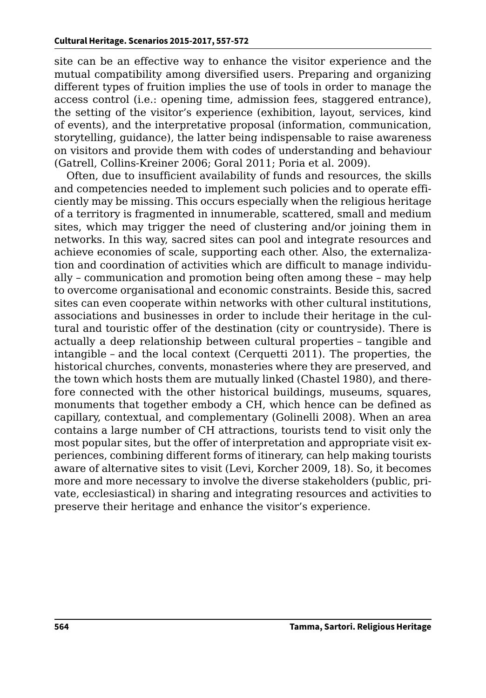site can be an effective way to enhance the visitor experience and the mutual compatibility among diversified users. Preparing and organizing different types of fruition implies the use of tools in order to manage the access control (i.e.: opening time, admission fees, staggered entrance), the setting of the visitor's experience (exhibition, layout, services, kind of events), and the interpretative proposal (information, communication, storytelling, guidance), the latter being indispensable to raise awareness on visitors and provide them with codes of understanding and behaviour (Gatrell, Collins-Kreiner 2006; Goral 2011; Poria et al. 2009).

Often, due to insufficient availability of funds and resources, the skills and competencies needed to implement such policies and to operate efficiently may be missing. This occurs especially when the religious heritage of a territory is fragmented in innumerable, scattered, small and medium sites, which may trigger the need of clustering and/or joining them in networks. In this way, sacred sites can pool and integrate resources and achieve economies of scale, supporting each other. Also, the externalization and coordination of activities which are difficult to manage individually – communication and promotion being often among these – may help to overcome organisational and economic constraints. Beside this, sacred sites can even cooperate within networks with other cultural institutions, associations and businesses in order to include their heritage in the cultural and touristic offer of the destination (city or countryside). There is actually a deep relationship between cultural properties – tangible and intangible – and the local context (Cerquetti 2011). The properties, the historical churches, convents, monasteries where they are preserved, and the town which hosts them are mutually linked (Chastel 1980), and therefore connected with the other historical buildings, museums, squares, monuments that together embody a CH, which hence can be defined as capillary, contextual, and complementary (Golinelli 2008). When an area contains a large number of CH attractions, tourists tend to visit only the most popular sites, but the offer of interpretation and appropriate visit experiences, combining different forms of itinerary, can help making tourists aware of alternative sites to visit (Levi, Korcher 2009, 18). So, it becomes more and more necessary to involve the diverse stakeholders (public, private, ecclesiastical) in sharing and integrating resources and activities to preserve their heritage and enhance the visitor's experience.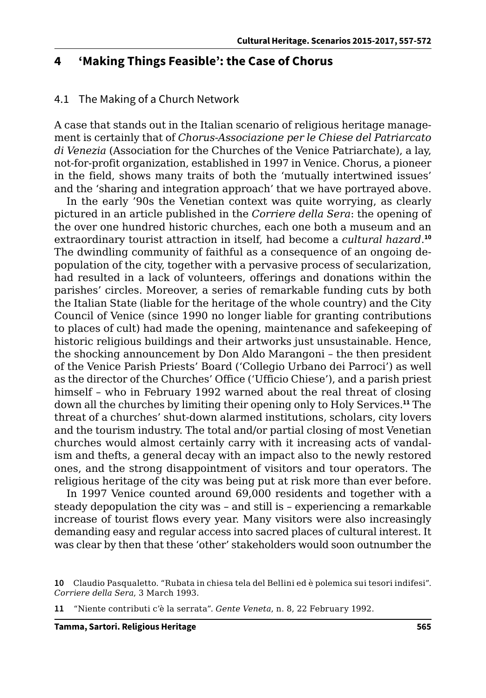#### **4 'Making Things Feasible': the Case of Chorus**

#### 4.1 The Making of a Church Network

A case that stands out in the Italian scenario of religious heritage management is certainly that of *Chorus-Associazione per le Chiese del Patriarcato di Venezia* (Association for the Churches of the Venice Patriarchate), a lay, not-for-profit organization, established in 1997 in Venice. Chorus, a pioneer in the field, shows many traits of both the 'mutually intertwined issues' and the 'sharing and integration approach' that we have portrayed above.

In the early '90s the Venetian context was quite worrying, as clearly pictured in an article published in the *Corriere della Sera*: the opening of the over one hundred historic churches, each one both a museum and an extraordinary tourist attraction in itself, had become a *cultural hazard*. **10** The dwindling community of faithful as a consequence of an ongoing depopulation of the city, together with a pervasive process of secularization, had resulted in a lack of volunteers, offerings and donations within the parishes' circles. Moreover, a series of remarkable funding cuts by both the Italian State (liable for the heritage of the whole country) and the City Council of Venice (since 1990 no longer liable for granting contributions to places of cult) had made the opening, maintenance and safekeeping of historic religious buildings and their artworks just unsustainable. Hence, the shocking announcement by Don Aldo Marangoni – the then president of the Venice Parish Priests' Board ('Collegio Urbano dei Parroci') as well as the director of the Churches' Office ('Ufficio Chiese'), and a parish priest himself – who in February 1992 warned about the real threat of closing down all the churches by limiting their opening only to Holy Services.**<sup>11</sup>** The threat of a churches' shut-down alarmed institutions, scholars, city lovers and the tourism industry. The total and/or partial closing of most Venetian churches would almost certainly carry with it increasing acts of vandalism and thefts, a general decay with an impact also to the newly restored ones, and the strong disappointment of visitors and tour operators. The religious heritage of the city was being put at risk more than ever before.

In 1997 Venice counted around 69,000 residents and together with a steady depopulation the city was – and still is – experiencing a remarkable increase of tourist flows every year. Many visitors were also increasingly demanding easy and regular access into sacred places of cultural interest. It was clear by then that these 'other' stakeholders would soon outnumber the

**11** "Niente contributi c'è la serrata". *Gente Veneta*, n. 8, 22 February 1992.

**<sup>10</sup>** Claudio Pasqualetto. "Rubata in chiesa tela del Bellini ed è polemica sui tesori indifesi". *Corriere della Sera*, 3 March 1993.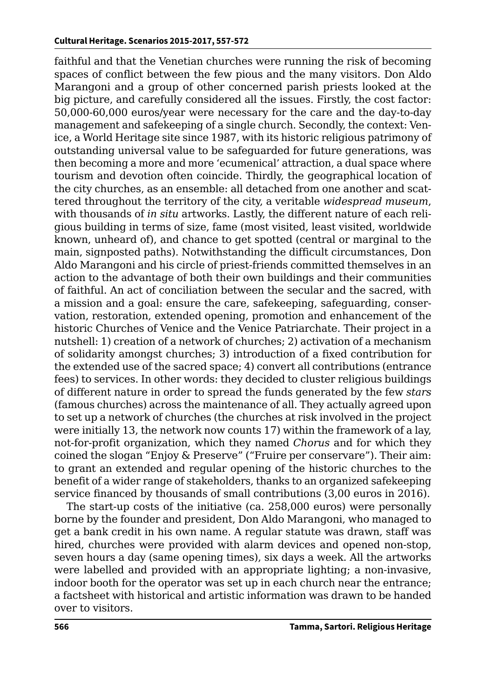faithful and that the Venetian churches were running the risk of becoming spaces of conflict between the few pious and the many visitors. Don Aldo Marangoni and a group of other concerned parish priests looked at the big picture, and carefully considered all the issues. Firstly, the cost factor: 50,000-60,000 euros/year were necessary for the care and the day-to-day management and safekeeping of a single church. Secondly, the context: Venice, a World Heritage site since 1987, with its historic religious patrimony of outstanding universal value to be safeguarded for future generations, was then becoming a more and more 'ecumenical' attraction, a dual space where tourism and devotion often coincide. Thirdly, the geographical location of the city churches, as an ensemble: all detached from one another and scattered throughout the territory of the city, a veritable *widespread museum*, with thousands of *in situ* artworks. Lastly, the different nature of each religious building in terms of size, fame (most visited, least visited, worldwide known, unheard of), and chance to get spotted (central or marginal to the main, signposted paths). Notwithstanding the difficult circumstances, Don Aldo Marangoni and his circle of priest-friends committed themselves in an action to the advantage of both their own buildings and their communities of faithful. An act of conciliation between the secular and the sacred, with a mission and a goal: ensure the care, safekeeping, safeguarding, conservation, restoration, extended opening, promotion and enhancement of the historic Churches of Venice and the Venice Patriarchate. Their project in a nutshell: 1) creation of a network of churches; 2) activation of a mechanism of solidarity amongst churches; 3) introduction of a fixed contribution for the extended use of the sacred space; 4) convert all contributions (entrance fees) to services. In other words: they decided to cluster religious buildings of different nature in order to spread the funds generated by the few *stars* (famous churches) across the maintenance of all. They actually agreed upon to set up a network of churches (the churches at risk involved in the project were initially 13, the network now counts 17) within the framework of a lay, not-for-profit organization, which they named *Chorus* and for which they coined the slogan "Enjoy & Preserve" ("Fruire per conservare"). Their aim: to grant an extended and regular opening of the historic churches to the benefit of a wider range of stakeholders, thanks to an organized safekeeping service financed by thousands of small contributions (3,00 euros in 2016).

The start-up costs of the initiative (ca. 258,000 euros) were personally borne by the founder and president, Don Aldo Marangoni, who managed to get a bank credit in his own name. A regular statute was drawn, staff was hired, churches were provided with alarm devices and opened non-stop, seven hours a day (same opening times), six days a week. All the artworks were labelled and provided with an appropriate lighting; a non-invasive, indoor booth for the operator was set up in each church near the entrance; a factsheet with historical and artistic information was drawn to be handed over to visitors.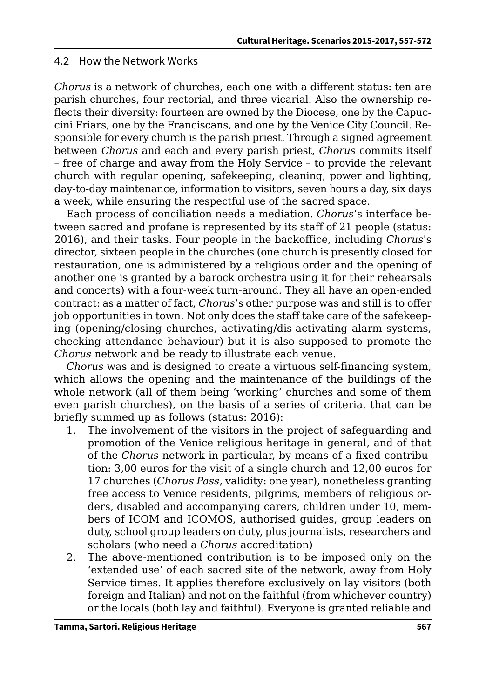#### 4.2 How the Network Works

*Chorus* is a network of churches, each one with a different status: ten are parish churches, four rectorial, and three vicarial. Also the ownership reflects their diversity: fourteen are owned by the Diocese, one by the Capuccini Friars, one by the Franciscans, and one by the Venice City Council. Responsible for every church is the parish priest. Through a signed agreement between *Chorus* and each and every parish priest, *Chorus* commits itself – free of charge and away from the Holy Service – to provide the relevant church with regular opening, safekeeping, cleaning, power and lighting, day-to-day maintenance, information to visitors, seven hours a day, six days a week, while ensuring the respectful use of the sacred space.

Each process of conciliation needs a mediation. *Chorus*'s interface between sacred and profane is represented by its staff of 21 people (status: 2016), and their tasks. Four people in the backoffice, including *Chorus*'s director, sixteen people in the churches (one church is presently closed for restauration, one is administered by a religious order and the opening of another one is granted by a barock orchestra using it for their rehearsals and concerts) with a four-week turn-around. They all have an open-ended contract: as a matter of fact, *Chorus*'s other purpose was and still is to offer job opportunities in town. Not only does the staff take care of the safekeeping (opening/closing churches, activating/dis-activating alarm systems, checking attendance behaviour) but it is also supposed to promote the *Chorus* network and be ready to illustrate each venue.

*Chorus* was and is designed to create a virtuous self-financing system, which allows the opening and the maintenance of the buildings of the whole network (all of them being 'working' churches and some of them even parish churches), on the basis of a series of criteria, that can be briefly summed up as follows (status: 2016):

- 1. The involvement of the visitors in the project of safeguarding and promotion of the Venice religious heritage in general, and of that of the *Chorus* network in particular, by means of a fixed contribution: 3,00 euros for the visit of a single church and 12,00 euros for 17 churches (*Chorus Pass*, validity: one year), nonetheless granting free access to Venice residents, pilgrims, members of religious orders, disabled and accompanying carers, children under 10, members of ICOM and ICOMOS, authorised guides, group leaders on duty, school group leaders on duty, plus journalists, researchers and scholars (who need a *Chorus* accreditation)
- 2. The above-mentioned contribution is to be imposed only on the 'extended use' of each sacred site of the network, away from Holy Service times. It applies therefore exclusively on lay visitors (both foreign and Italian) and not on the faithful (from whichever country) or the locals (both lay and faithful). Everyone is granted reliable and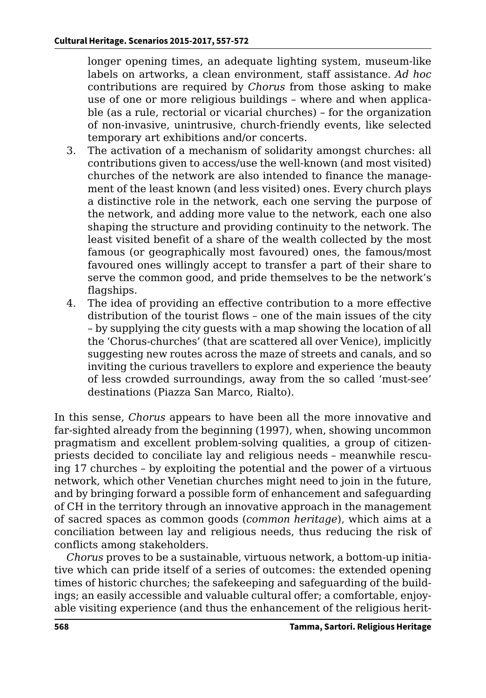longer opening times, an adequate lighting system, museum-like labels on artworks, a clean environment, staff assistance. *Ad hoc*  contributions are required by *Chorus* from those asking to make use of one or more religious buildings – where and when applicable (as a rule, rectorial or vicarial churches) – for the organization of non-invasive, unintrusive, church-friendly events, like selected temporary art exhibitions and/or concerts.

- 3. The activation of a mechanism of solidarity amongst churches: all contributions given to access/use the well-known (and most visited) churches of the network are also intended to finance the management of the least known (and less visited) ones. Every church plays a distinctive role in the network, each one serving the purpose of the network, and adding more value to the network, each one also shaping the structure and providing continuity to the network. The least visited benefit of a share of the wealth collected by the most famous (or geographically most favoured) ones, the famous/most favoured ones willingly accept to transfer a part of their share to serve the common good, and pride themselves to be the network's flagships.
- 4. The idea of providing an effective contribution to a more effective distribution of the tourist flows – one of the main issues of the city – by supplying the city guests with a map showing the location of all the 'Chorus-churches' (that are scattered all over Venice), implicitly suggesting new routes across the maze of streets and canals, and so inviting the curious travellers to explore and experience the beauty of less crowded surroundings, away from the so called 'must-see' destinations (Piazza San Marco, Rialto).

In this sense, *Chorus* appears to have been all the more innovative and far-sighted already from the beginning (1997), when, showing uncommon pragmatism and excellent problem-solving qualities, a group of citizenpriests decided to conciliate lay and religious needs – meanwhile rescuing 17 churches – by exploiting the potential and the power of a virtuous network, which other Venetian churches might need to join in the future, and by bringing forward a possible form of enhancement and safeguarding of CH in the territory through an innovative approach in the management of sacred spaces as common goods (*common heritage*), which aims at a conciliation between lay and religious needs, thus reducing the risk of conflicts among stakeholders.

*Chorus* proves to be a sustainable, virtuous network, a bottom-up initiative which can pride itself of a series of outcomes: the extended opening times of historic churches; the safekeeping and safeguarding of the buildings; an easily accessible and valuable cultural offer; a comfortable, enjoyable visiting experience (and thus the enhancement of the religious herit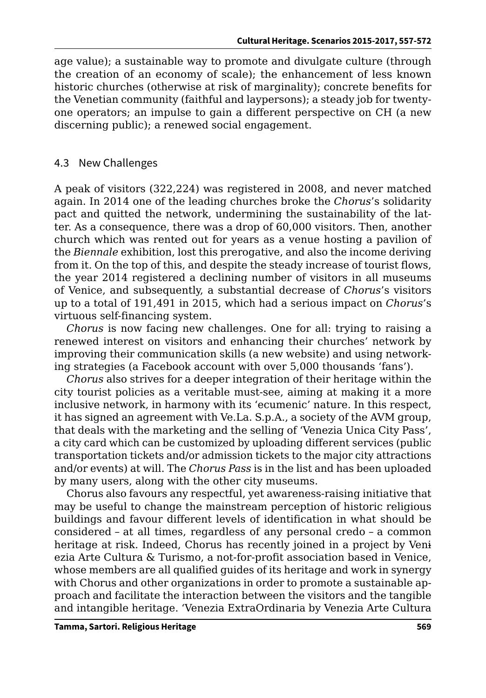age value); a sustainable way to promote and divulgate culture (through the creation of an economy of scale); the enhancement of less known historic churches (otherwise at risk of marginality); concrete benefits for the Venetian community (faithful and laypersons); a steady job for twentyone operators; an impulse to gain a different perspective on CH (a new discerning public); a renewed social engagement.

## 4.3 New Challenges

A peak of visitors (322,224) was registered in 2008, and never matched again. In 2014 one of the leading churches broke the *Chorus*'s solidarity pact and quitted the network, undermining the sustainability of the latter. As a consequence, there was a drop of 60,000 visitors. Then, another church which was rented out for years as a venue hosting a pavilion of the *Biennale* exhibition, lost this prerogative, and also the income deriving from it. On the top of this, and despite the steady increase of tourist flows, the year 2014 registered a declining number of visitors in all museums of Venice, and subsequently, a substantial decrease of *Chorus*'s visitors up to a total of 191,491 in 2015, which had a serious impact on *Chorus*'s virtuous self-financing system.

*Chorus* is now facing new challenges. One for all: trying to raising a renewed interest on visitors and enhancing their churches' network by improving their communication skills (a new website) and using networking strategies (a Facebook account with over 5,000 thousands 'fans').

*Chorus* also strives for a deeper integration of their heritage within the city tourist policies as a veritable must-see, aiming at making it a more inclusive network, in harmony with its 'ecumenic' nature. In this respect, it has signed an agreement with Ve.La. S.p.A., a society of the AVM group, that deals with the marketing and the selling of 'Venezia Unica City Pass', a city card which can be customized by uploading different services (public transportation tickets and/or admission tickets to the major city attractions and/or events) at will. The *Chorus Pass* is in the list and has been uploaded by many users, along with the other city museums.

Chorus also favours any respectful, yet awareness-raising initiative that may be useful to change the mainstream perception of historic religious buildings and favour different levels of identification in what should be considered – at all times, regardless of any personal credo – a common heritage at risk. Indeed, Chorus has recently joined in a project by Veni ezia Arte Cultura & Turismo, a not-for-profit association based in Venice, whose members are all qualified guides of its heritage and work in synergy with Chorus and other organizations in order to promote a sustainable approach and facilitate the interaction between the visitors and the tangible and intangible heritage. 'Venezia ExtraOrdinaria by Venezia Arte Cultura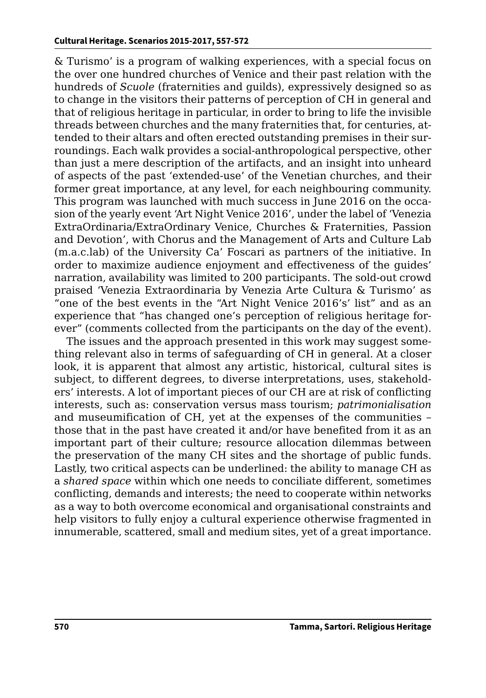& Turismo' is a program of walking experiences, with a special focus on the over one hundred churches of Venice and their past relation with the hundreds of *Scuole* (fraternities and guilds), expressively designed so as to change in the visitors their patterns of perception of CH in general and that of religious heritage in particular, in order to bring to life the invisible threads between churches and the many fraternities that, for centuries, attended to their altars and often erected outstanding premises in their surroundings. Each walk provides a social-anthropological perspective, other than just a mere description of the artifacts, and an insight into unheard of aspects of the past 'extended-use' of the Venetian churches, and their former great importance, at any level, for each neighbouring community. This program was launched with much success in June 2016 on the occasion of the yearly event 'Art Night Venice 2016', under the label of 'Venezia ExtraOrdinaria/ExtraOrdinary Venice, Churches & Fraternities, Passion and Devotion', with Chorus and the Management of Arts and Culture Lab (m.a.c.lab) of the University Ca' Foscari as partners of the initiative. In order to maximize audience enjoyment and effectiveness of the guides' narration, availability was limited to 200 participants. The sold-out crowd praised 'Venezia Extraordinaria by Venezia Arte Cultura & Turismo' as "one of the best events in the "Art Night Venice 2016's' list" and as an experience that "has changed one's perception of religious heritage forever" (comments collected from the participants on the day of the event).

The issues and the approach presented in this work may suggest something relevant also in terms of safeguarding of CH in general. At a closer look, it is apparent that almost any artistic, historical, cultural sites is subject, to different degrees, to diverse interpretations, uses, stakeholders' interests. A lot of important pieces of our CH are at risk of conflicting interests, such as: conservation versus mass tourism; *patrimonialisation* and museumification of CH, yet at the expenses of the communities – those that in the past have created it and/or have benefited from it as an important part of their culture; resource allocation dilemmas between the preservation of the many CH sites and the shortage of public funds. Lastly, two critical aspects can be underlined: the ability to manage CH as a *shared space* within which one needs to conciliate different, sometimes conflicting, demands and interests; the need to cooperate within networks as a way to both overcome economical and organisational constraints and help visitors to fully enjoy a cultural experience otherwise fragmented in innumerable, scattered, small and medium sites, yet of a great importance.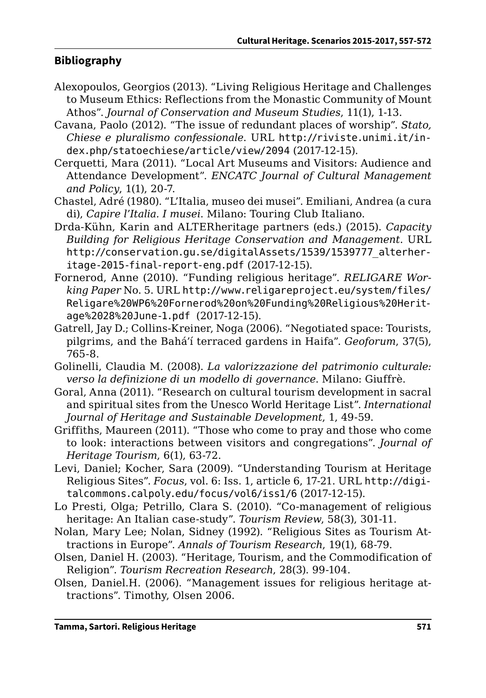### **Bibliography**

- Alexopoulos, Georgios (2013). "Living Religious Heritage and Challenges to Museum Ethics: Reflections from the Monastic Community of Mount Athos". *Journal of Conservation and Museum Studies*, 11(1), 1-13.
- Cavana, Paolo (2012). "The issue of redundant places of worship". *Stato, Chiese e pluralismo confessionale*. URL [http://riviste.unimi.it/in](http://riviste.unimi.it/index.php/statoechiese/article/view/2094)[dex.php/statoechiese/article/view/2094](http://riviste.unimi.it/index.php/statoechiese/article/view/2094) (2017-12-15).
- Cerquetti, Mara (2011). "Local Art Museums and Visitors: Audience and Attendance Development". *ENCATC Journal of Cultural Management and Policy*, 1(1), 20-7.
- Chastel, Adré (1980). "L'Italia, museo dei musei". Emiliani, Andrea (a cura di), *Capire l'Italia. I musei*. Milano: Touring Club Italiano.
- Drda-Kühn, Karin and ALTERheritage partners (eds.) (2015). *Capacity Building for Religious Heritage Conservation and Management*. URL [http://conservation.gu.se/digitalAssets/1539/1539777\\_alterher](http://conservation.gu.se/digitalAssets/1539/1539777_alterheritage-2015-final-report-eng.pdf)[itage-2015-final-report-eng.pdf](http://conservation.gu.se/digitalAssets/1539/1539777_alterheritage-2015-final-report-eng.pdf) (2017-12-15).
- Fornerod, Anne (2010). "Funding religious heritage". *RELIGARE Working Paper* No. 5. URL [http://www.religareproject.eu/system/files/](http://www.religareproject.eu/system/files/Religare%20WP6%20Fornerod%20on%20Funding%20Religious%20Heritage%2028%20June-1.pdf) [Religare%20WP6%20Fornerod%20on%20Funding%20Religious%20Herit](http://www.religareproject.eu/system/files/Religare%20WP6%20Fornerod%20on%20Funding%20Religious%20Heritage%2028%20June-1.pdf)[age%2028%20June-1.pdf](http://www.religareproject.eu/system/files/Religare%20WP6%20Fornerod%20on%20Funding%20Religious%20Heritage%2028%20June-1.pdf) (2017-12-15).
- Gatrell, Jay D.; Collins-Kreiner, Noga (2006). "Negotiated space: Tourists, pilgrims, and the Bahá'í terraced gardens in Haifa". *Geoforum*, 37(5), 765-8.
- Golinelli, Claudia M. (2008). *La valorizzazione del patrimonio culturale: verso la definizione di un modello di governance*. Milano: Giuffrè.
- Goral, Anna (2011). "Research on cultural tourism development in sacral and spiritual sites from the Unesco World Heritage List". *International Journal of Heritage and Sustainable Development*, 1, 49-59.
- Griffiths, Maureen (2011). "Those who come to pray and those who come to look: interactions between visitors and congregations". *Journal of Heritage Tourism*, 6(1), 63-72.
- Levi, Daniel; Kocher, Sara (2009). "Understanding Tourism at Heritage Religious Sites". *Focus*, vol. 6: Iss. 1, article 6, 17-21. URL [http://digi](http://digitalcommons.calpoly.edu/focus/vol6/iss1/6)[talcommons.calpoly.edu/focus/vol6/iss1/6](http://digitalcommons.calpoly.edu/focus/vol6/iss1/6) (2017-12-15).
- Lo Presti, Olga; Petrillo, Clara S. (2010). "Co-management of religious heritage: An Italian case-study". *Tourism Review*, 58(3), 301-11.
- Nolan, Mary Lee; Nolan, Sidney (1992). "Religious Sites as Tourism Attractions in Europe". *Annals of Tourism Research*, 19(1), 68-79.
- Olsen, Daniel H. (2003). "Heritage, Tourism, and the Commodification of Religion". *Tourism Recreation Research*, 28(3). 99-104.
- Olsen, Daniel.H. (2006). "Management issues for religious heritage attractions". Timothy, Olsen 2006.